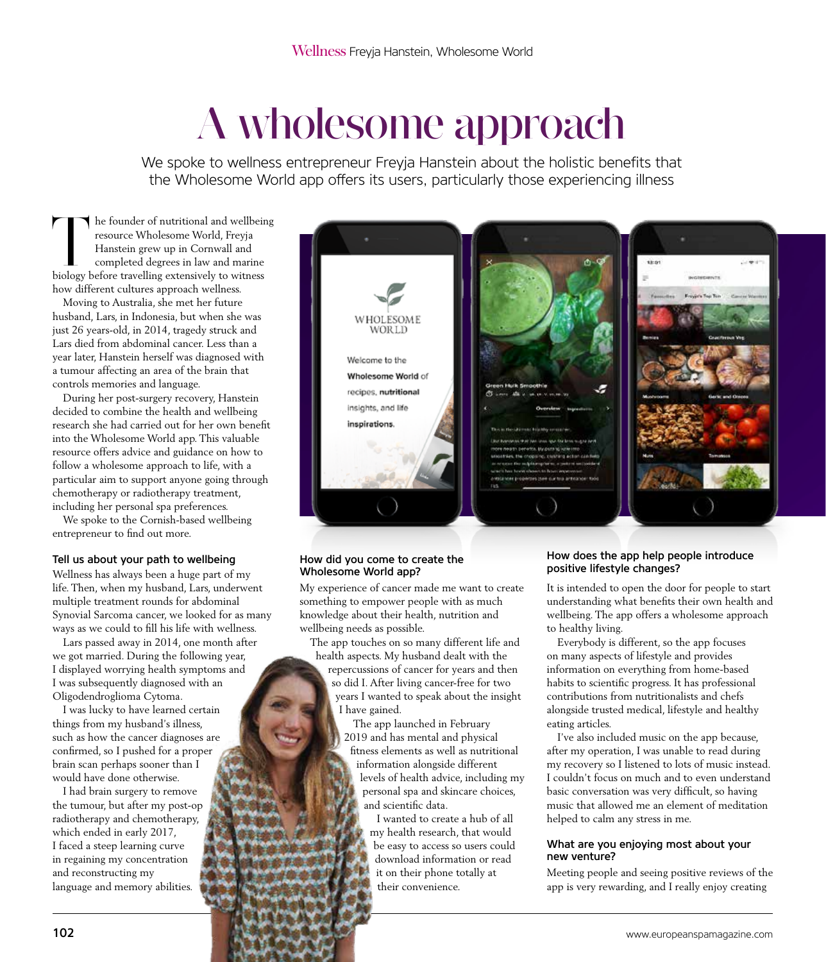# A wholesome approach

We spoke to wellness entrepreneur Freyja Hanstein about the holistic benefits that the Wholesome World app offers its users, particularly those experiencing illness

The founder of nutritional and wellbeing<br>resource Wholesome World, Freyja<br>Hanstein grew up in Cornwall and<br>completed degrees in law and marine<br>hiology before travelling extensively to witness resource Wholesome World, Freyja Hanstein grew up in Cornwall and completed degrees in law and marine biology before travelling extensively to witness how different cultures approach wellness.

Moving to Australia, she met her future husband, Lars, in Indonesia, but when she was just 26 years-old, in 2014, tragedy struck and Lars died from abdominal cancer. Less than a year later, Hanstein herself was diagnosed with a tumour affecting an area of the brain that controls memories and language.

During her post-surgery recovery, Hanstein decided to combine the health and wellbeing research she had carried out for her own benefit into the Wholesome World app. This valuable resource offers advice and guidance on how to follow a wholesome approach to life, with a particular aim to support anyone going through chemotherapy or radiotherapy treatment, including her personal spa preferences.

We spoke to the Cornish-based wellbeing entrepreneur to find out more.

## Tell us about your path to wellbeing

Wellness has always been a huge part of my life. Then, when my husband, Lars, underwent multiple treatment rounds for abdominal Synovial Sarcoma cancer, we looked for as many ways as we could to fill his life with wellness.

Lars passed away in 2014, one month after we got married. During the following year, I displayed worrying health symptoms and I was subsequently diagnosed with an Oligodendroglioma Cytoma.

I was lucky to have learned certain things from my husband's illness, such as how the cancer diagnoses are confirmed, so I pushed for a proper brain scan perhaps sooner than I would have done otherwise.

I had brain surgery to remove the tumour, but after my post-op radiotherapy and chemotherapy, which ended in early 2017, I faced a steep learning curve in regaining my concentration and reconstructing my language and memory abilities.



## How did you come to create the Wholesome World app?

My experience of cancer made me want to create something to empower people with as much knowledge about their health, nutrition and wellbeing needs as possible.

The app touches on so many different life and health aspects. My husband dealt with the repercussions of cancer for years and then so did I. After living cancer-free for two years I wanted to speak about the insight I have gained.

The app launched in February 2019 and has mental and physical fitness elements as well as nutritional information alongside different levels of health advice, including my personal spa and skincare choices, and scientific data.

I wanted to create a hub of all my health research, that would be easy to access so users could download information or read it on their phone totally at their convenience.

#### How does the app help people introduce positive lifestyle changes?

It is intended to open the door for people to start understanding what benefits their own health and wellbeing. The app offers a wholesome approach to healthy living.

Everybody is different, so the app focuses on many aspects of lifestyle and provides information on everything from home-based habits to scientific progress. It has professional contributions from nutritionalists and chefs alongside trusted medical, lifestyle and healthy eating articles.

I've also included music on the app because, after my operation, I was unable to read during my recovery so I listened to lots of music instead. I couldn't focus on much and to even understand basic conversation was very difficult, so having music that allowed me an element of meditation helped to calm any stress in me.

## What are you enjoying most about your new venture?

Meeting people and seeing positive reviews of the app is very rewarding, and I really enjoy creating